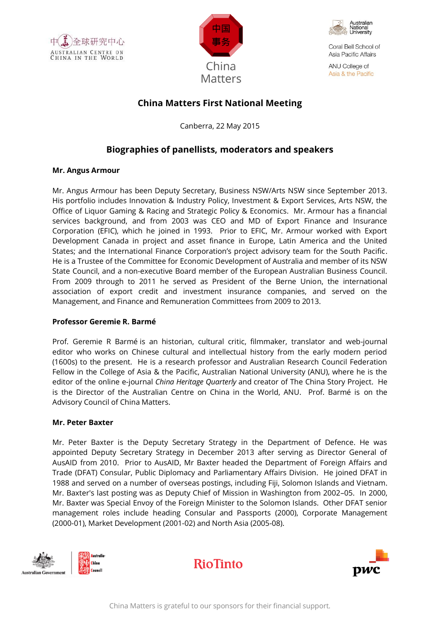





Coral Bell School of Asia Pacific Affairs

ANU College of Asia & the Pacific

# **China Matters First National Meeting**

Canberra, 22 May 2015

# **Biographies of panellists, moderators and speakers**

## **Mr. Angus Armour**

Mr. Angus Armour has been Deputy Secretary, Business NSW/Arts NSW since September 2013. His portfolio includes Innovation & Industry Policy, Investment & Export Services, Arts NSW, the Office of Liquor Gaming & Racing and Strategic Policy & Economics. Mr. Armour has a financial services background, and from 2003 was CEO and MD of Export Finance and Insurance Corporation (EFIC), which he joined in 1993. Prior to EFIC, Mr. Armour worked with Export Development Canada in project and asset finance in Europe, Latin America and the United States; and the International Finance Corporation's project advisory team for the South Pacific. He is a Trustee of the Committee for Economic Development of Australia and member of its NSW State Council, and a non-executive Board member of the European Australian Business Council. From 2009 through to 2011 he served as President of the Berne Union, the international association of export credit and investment insurance companies, and served on the Management, and Finance and Remuneration Committees from 2009 to 2013.

## **Professor Geremie R. Barmé**

Prof. Geremie R Barmé is an historian, cultural critic, filmmaker, translator and web-journal editor who works on Chinese cultural and intellectual history from the early modern period (1600s) to the present. He is a research professor and Australian Research Council Federation Fellow in the College of Asia & the Pacific, Australian National University (ANU), where he is the editor of the online e-journal *China Heritage Quarterly* and creator of The China Story Project. He is the Director of the Australian Centre on China in the World, ANU. Prof. Barmé is on the Advisory Council of China Matters.

## **Mr. Peter Baxter**

Mr. Peter Baxter is the Deputy Secretary Strategy in the Department of Defence. He was appointed Deputy Secretary Strategy in December 2013 after serving as Director General of AusAID from 2010. Prior to AusAID, Mr Baxter headed the Department of Foreign Affairs and Trade (DFAT) Consular, Public Diplomacy and Parliamentary Affairs Division. He joined DFAT in 1988 and served on a number of overseas postings, including Fiji, Solomon Islands and Vietnam. Mr. Baxter's last posting was as Deputy Chief of Mission in Washington from 2002–05. In 2000, Mr. Baxter was Special Envoy of the Foreign Minister to the Solomon Islands. Other DFAT senior management roles include heading Consular and Passports (2000), Corporate Management (2000-01), Market Development (2001-02) and North Asia (2005-08).





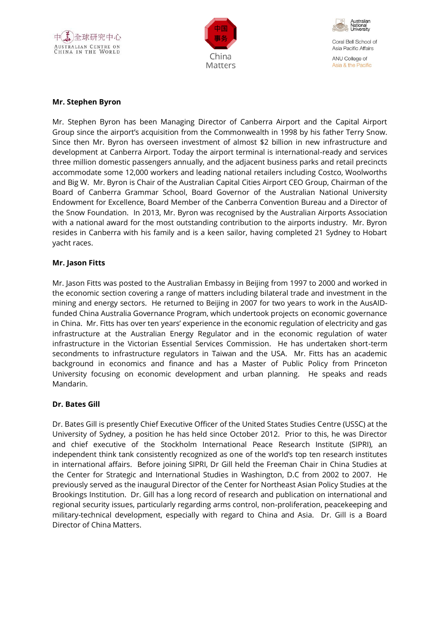





Coral Bell School of Asia Pacific Affairs ANU College of

Asia & the Pacific

#### **Mr. Stephen Byron**

Mr. Stephen Byron has been Managing Director of Canberra Airport and the Capital Airport Group since the airport's acquisition from the Commonwealth in 1998 by his father Terry Snow. Since then Mr. Byron has overseen investment of almost \$2 billion in new infrastructure and development at Canberra Airport. Today the airport terminal is international-ready and services three million domestic passengers annually, and the adjacent business parks and retail precincts accommodate some 12,000 workers and leading national retailers including Costco, Woolworths and Big W. Mr. Byron is Chair of the Australian Capital Cities Airport CEO Group, Chairman of the Board of Canberra Grammar School, Board Governor of the Australian National University Endowment for Excellence, Board Member of the Canberra Convention Bureau and a Director of the Snow Foundation. In 2013, Mr. Byron was recognised by the Australian Airports Association with a national award for the most outstanding contribution to the airports industry. Mr. Byron resides in Canberra with his family and is a keen sailor, having completed 21 Sydney to Hobart yacht races.

### **Mr. Jason Fitts**

Mr. Jason Fitts was posted to the Australian Embassy in Beijing from 1997 to 2000 and worked in the economic section covering a range of matters including bilateral trade and investment in the mining and energy sectors. He returned to Beijing in 2007 for two years to work in the AusAIDfunded China Australia Governance Program, which undertook projects on economic governance in China. Mr. Fitts has over ten years' experience in the economic regulation of electricity and gas infrastructure at the Australian Energy Regulator and in the economic regulation of water infrastructure in the Victorian Essential Services Commission. He has undertaken short-term secondments to infrastructure regulators in Taiwan and the USA. Mr. Fitts has an academic background in economics and finance and has a Master of Public Policy from Princeton University focusing on economic development and urban planning. He speaks and reads Mandarin.

#### **Dr. Bates Gill**

Dr. Bates Gill is presently Chief Executive Officer of the United States Studies Centre (USSC) at the University of Sydney, a position he has held since October 2012. Prior to this, he was Director and chief executive of the Stockholm International Peace Research Institute (SIPRI), an independent think tank consistently recognized as one of the world's top ten research institutes in international affairs. Before joining SIPRI, Dr Gill held the Freeman Chair in China Studies at the Center for Strategic and International Studies in Washington, D.C from 2002 to 2007. He previously served as the inaugural Director of the Center for Northeast Asian Policy Studies at the Brookings Institution. Dr. Gill has a long record of research and publication on international and regional security issues, particularly regarding arms control, non-proliferation, peacekeeping and military-technical development, especially with regard to China and Asia. Dr. Gill is a Board Director of China Matters.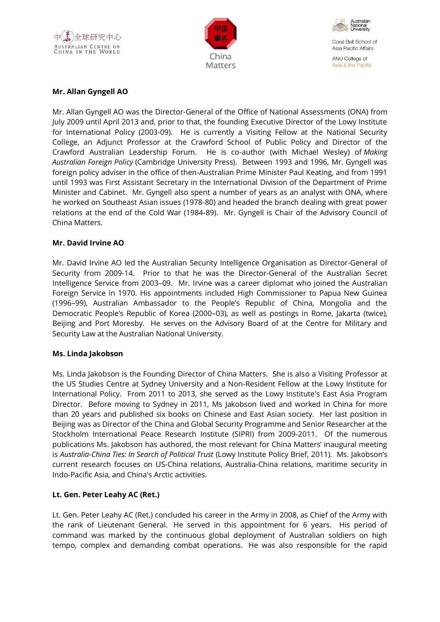





Coral Bell School of Asia Pacific Affairs ANU College of Asia & the Pacific

## **Mr. Allan Gyngell AO**

Mr. Allan Gyngell AO was the Director-General of the Office of National Assessments (ONA) from July 2009 until April 2013 and, prior to that, the founding Executive Director of the Lowy Institute for International Policy (2003-09). He is currently a Visiting Fellow at the National Security College, an Adjunct Professor at the Crawford School of Public Policy and Director of the Crawford Australian Leadership Forum. He is co-author (with Michael Wesley) of *Making Australian Foreign Policy* (Cambridge University Press). Between 1993 and 1996, Mr. Gyngell was foreign policy adviser in the office of then-Australian Prime Minister Paul Keating, and from 1991 until 1993 was First Assistant Secretary in the International Division of the Department of Prime Minister and Cabinet. Mr. Gyngell also spent a number of years as an analyst with ONA, where he worked on Southeast Asian issues (1978-80) and headed the branch dealing with great power relations at the end of the Cold War (1984-89). Mr. Gyngell is Chair of the Advisory Council of China Matters.

### **Mr. David Irvine AO**

Mr. David Irvine AO led the Australian Security Intelligence Organisation as Director-General of Security from 2009-14. Prior to that he was the Director-General of the Australian Secret Intelligence Service from 2003–09. Mr. Irvine was a career diplomat who joined the Australian Foreign Service in 1970. His appointments included High Commissioner to Papua New Guinea (1996–99), Australian Ambassador to the People's Republic of China, Mongolia and the Democratic People's Republic of Korea (2000–03), as well as postings in Rome, Jakarta (twice), Beijing and Port Moresby. He serves on the Advisory Board of at the Centre for Military and Security Law at the Australian National University.

## **Ms. Linda Jakobson**

Ms. Linda Jakobson is the Founding Director of China Matters. She is also a Visiting Professor at the US Studies Centre at Sydney University and a Non-Resident Fellow at the Lowy Institute for International Policy. From 2011 to 2013, she served as the Lowy Institute's East Asia Program Director. Before moving to Sydney in 2011, Ms Jakobson lived and worked in China for more than 20 years and published six books on Chinese and East Asian society. Her last position in Beijing was as Director of the China and Global Security Programme and Senior Researcher at the Stockholm International Peace Research Institute (SIPRI) from 2009-2011. Of the numerous publications Ms. Jakobson has authored, the most relevant for China Matters' inaugural meeting is *Australia-China Ties: In Search of Political Trust* (Lowy Institute Policy Brief, 2011). Ms. Jakobson's current research focuses on US-China relations, Australia-China relations, maritime security in Indo-Pacific Asia, and China's Arctic activities.

## **Lt. Gen. Peter Leahy AC (Ret.)**

Lt. Gen. Peter Leahy AC (Ret.) concluded his career in the Army in 2008, as Chief of the Army with the rank of Lieutenant General. He served in this appointment for 6 years. His period of command was marked by the continuous global deployment of Australian soldiers on high tempo, complex and demanding combat operations. He was also responsible for the rapid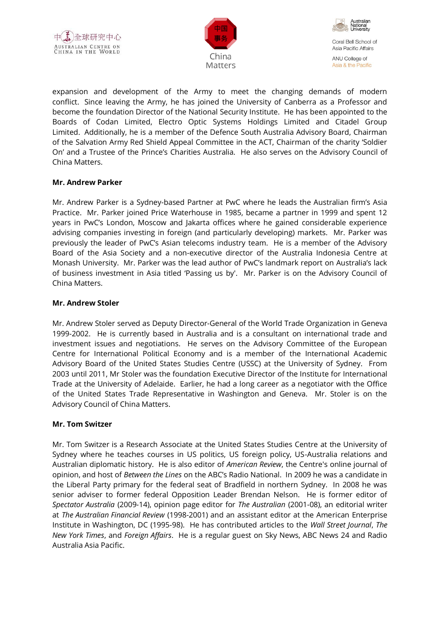





expansion and development of the Army to meet the changing demands of modern conflict. Since leaving the Army, he has joined the University of Canberra as a Professor and become the foundation Director of the National Security Institute. He has been appointed to the Boards of Codan Limited, Electro Optic Systems Holdings Limited and Citadel Group Limited. Additionally, he is a member of the Defence South Australia Advisory Board, Chairman of the Salvation Army Red Shield Appeal Committee in the ACT, Chairman of the charity 'Soldier On' and a Trustee of the Prince's Charities Australia. He also serves on the Advisory Council of China Matters.

## **Mr. Andrew Parker**

Mr. Andrew Parker is a Sydney-based Partner at PwC where he leads the Australian firm's Asia Practice. Mr. Parker joined Price Waterhouse in 1985, became a partner in 1999 and spent 12 years in PwC's London, Moscow and Jakarta offices where he gained considerable experience advising companies investing in foreign (and particularly developing) markets. Mr. Parker was previously the leader of PwC's Asian telecoms industry team. He is a member of the Advisory Board of the Asia Society and a non-executive director of the Australia Indonesia Centre at Monash University. Mr. Parker was the lead author of PwC's landmark report on Australia's lack of business investment in Asia titled 'Passing us by'. Mr. Parker is on the Advisory Council of China Matters.

### **Mr. Andrew Stoler**

Mr. Andrew Stoler served as Deputy Director-General of the World Trade Organization in Geneva 1999-2002. He is currently based in Australia and is a consultant on international trade and investment issues and negotiations. He serves on the Advisory Committee of the European Centre for International Political Economy and is a member of the International Academic Advisory Board of the United States Studies Centre (USSC) at the University of Sydney. From 2003 until 2011, Mr Stoler was the foundation Executive Director of the Institute for International Trade at the University of Adelaide. Earlier, he had a long career as a negotiator with the Office of the United States Trade Representative in Washington and Geneva. Mr. Stoler is on the Advisory Council of China Matters.

#### **Mr. Tom Switzer**

Mr. Tom Switzer is a Research Associate at the United States Studies Centre at the University of Sydney where he teaches courses in US politics, US foreign policy, US-Australia relations and Australian diplomatic history. He is also editor of *American Review*, the Centre's online journal of opinion, and host of *Between the Lines* on the ABC's Radio National. In 2009 he was a candidate in the Liberal Party primary for the federal seat of Bradfield in northern Sydney. In 2008 he was senior adviser to former federal Opposition Leader Brendan Nelson. He is former editor of *Spectator Australia* (2009-14), opinion page editor for *The Australian* (2001-08), an editorial writer at *The Australian Financial Review* (1998-2001) and an assistant editor at the American Enterprise Institute in Washington, DC (1995-98). He has contributed articles to the *Wall Street Journal*, *The New York Times*, and *Foreign Affairs*. He is a regular guest on Sky News, ABC News 24 and Radio Australia Asia Pacific.